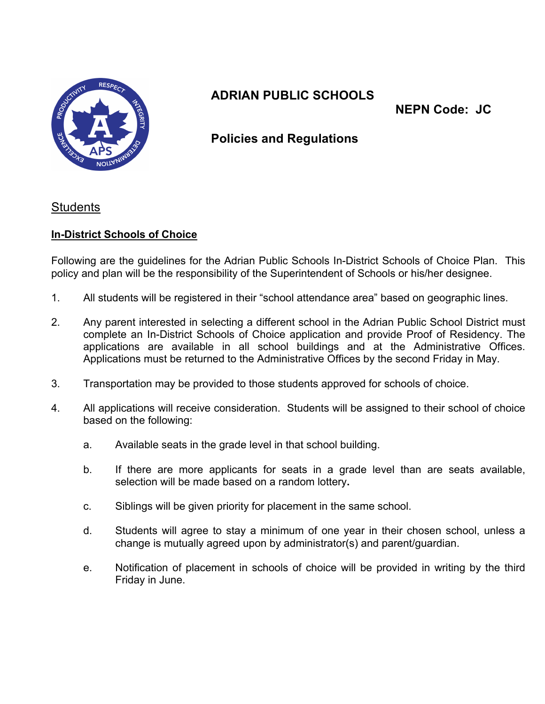

# **ADRIAN PUBLIC SCHOOLS**

**NEPN Code: JC** 

## **Policies and Regulations**

#### **Students**

### **In-District Schools of Choice**

 Following are the guidelines for the Adrian Public Schools In-District Schools of Choice Plan. This policy and plan will be the responsibility of the Superintendent of Schools or his/her designee.

- $1<sub>1</sub>$ All students will be registered in their "school attendance area" based on geographic lines.
- 2. Any parent interested in selecting a different school in the Adrian Public School District must complete an In-District Schools of Choice application and provide Proof of Residency. The applications are available in all school buildings and at the Administrative Offices. Applications must be returned to the Administrative Offices by the second Friday in May.
- 3. Transportation may be provided to those students approved for schools of choice.
- 4. based on the following: All applications will receive consideration. Students will be assigned to their school of choice
	- a. Available seats in the grade level in that school building.
	- $b_{-}$  selection will be made based on a random lottery**.**  If there are more applicants for seats in a grade level than are seats available,
	- c. Siblings will be given priority for placement in the same school.
	- d. Students will agree to stay a minimum of one year in their chosen school, unless a change is mutually agreed upon by administrator(s) and parent/guardian.
	- e. Notification of placement in schools of choice will be provided in writing by the third Friday in June.